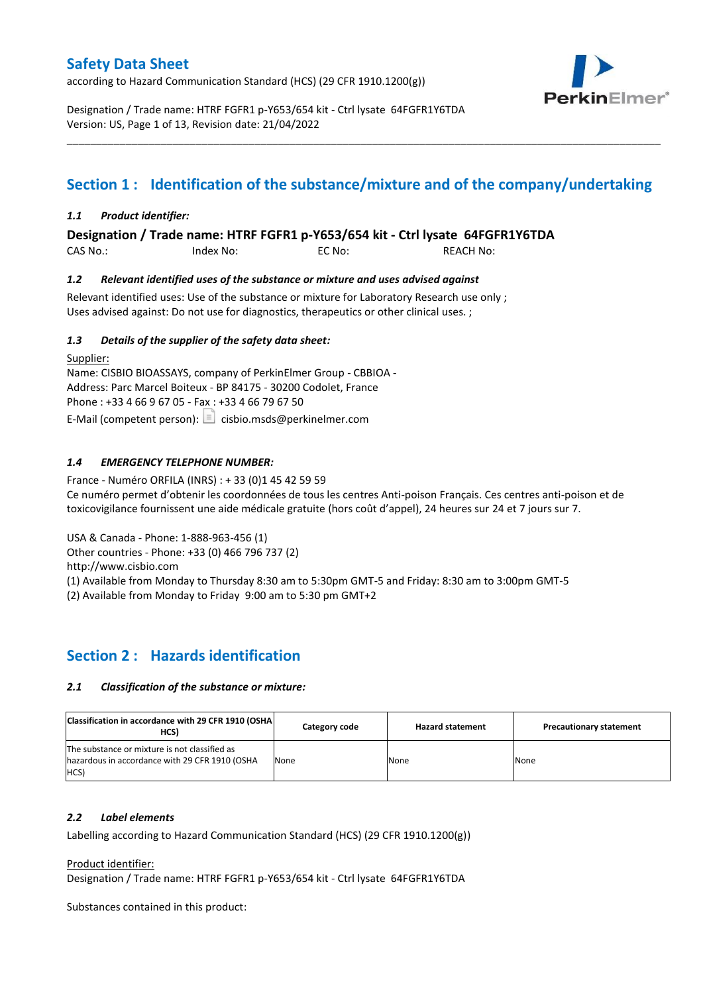according to Hazard Communication Standard (HCS) (29 CFR 1910.1200(g))



Designation / Trade name: HTRF FGFR1 p-Y653/654 kit - Ctrl lysate 64FGFR1Y6TDA Version: US, Page 1 of 13, Revision date: 21/04/2022

# **Section 1 : Identification of the substance/mixture and of the company/undertaking**

\_\_\_\_\_\_\_\_\_\_\_\_\_\_\_\_\_\_\_\_\_\_\_\_\_\_\_\_\_\_\_\_\_\_\_\_\_\_\_\_\_\_\_\_\_\_\_\_\_\_\_\_\_\_\_\_\_\_\_\_\_\_\_\_\_\_\_\_\_\_\_\_\_\_\_\_\_\_\_\_\_\_\_\_\_\_\_\_\_\_\_\_\_\_\_\_\_\_\_\_\_

## *1.1 Product identifier:*

**Designation / Trade name: HTRF FGFR1 p-Y653/654 kit - Ctrl lysate 64FGFR1Y6TDA** 

| CAS No.: | Index No: | EC No: | <b>REACH No:</b> |
|----------|-----------|--------|------------------|
|          |           |        |                  |

## *1.2 Relevant identified uses of the substance or mixture and uses advised against*

Relevant identified uses: Use of the substance or mixture for Laboratory Research use only ; Uses advised against: Do not use for diagnostics, therapeutics or other clinical uses. ;

## *1.3 Details of the supplier of the safety data sheet:*

Supplier: Name: CISBIO BIOASSAYS, company of PerkinElmer Group - CBBIOA - Address: Parc Marcel Boiteux - BP 84175 - 30200 Codolet, France Phone : +33 4 66 9 67 05 - Fax : +33 4 66 79 67 50 E-Mail (competent person):  $\Box$  cisbio.msds@perkinelmer.com

## *1.4 EMERGENCY TELEPHONE NUMBER:*

France - Numéro ORFILA (INRS) : + 33 (0)1 45 42 59 59 Ce numéro permet d'obtenir les coordonnées de tous les centres Anti-poison Français. Ces centres anti-poison et de toxicovigilance fournissent une aide médicale gratuite (hors coût d'appel), 24 heures sur 24 et 7 jours sur 7.

USA & Canada - Phone: 1-888-963-456 (1)

Other countries - Phone: +33 (0) 466 796 737 (2)

http://www.cisbio.com

(1) Available from Monday to Thursday 8:30 am to 5:30pm GMT-5 and Friday: 8:30 am to 3:00pm GMT-5

(2) Available from Monday to Friday 9:00 am to 5:30 pm GMT+2

## **Section 2 : Hazards identification**

### *2.1 Classification of the substance or mixture:*

| Classification in accordance with 29 CFR 1910 (OSHA)<br>HCS)                                                  | Category code | <b>Hazard statement</b> | <b>Precautionary statement</b> |
|---------------------------------------------------------------------------------------------------------------|---------------|-------------------------|--------------------------------|
| The substance or mixture is not classified as<br>hazardous in accordance with 29 CFR 1910 (OSHA<br><b>HCS</b> | None          | None                    | None                           |

### *2.2 Label elements*

Labelling according to Hazard Communication Standard (HCS) (29 CFR 1910.1200(g))

Product identifier:

Designation / Trade name: HTRF FGFR1 p-Y653/654 kit - Ctrl lysate 64FGFR1Y6TDA

Substances contained in this product: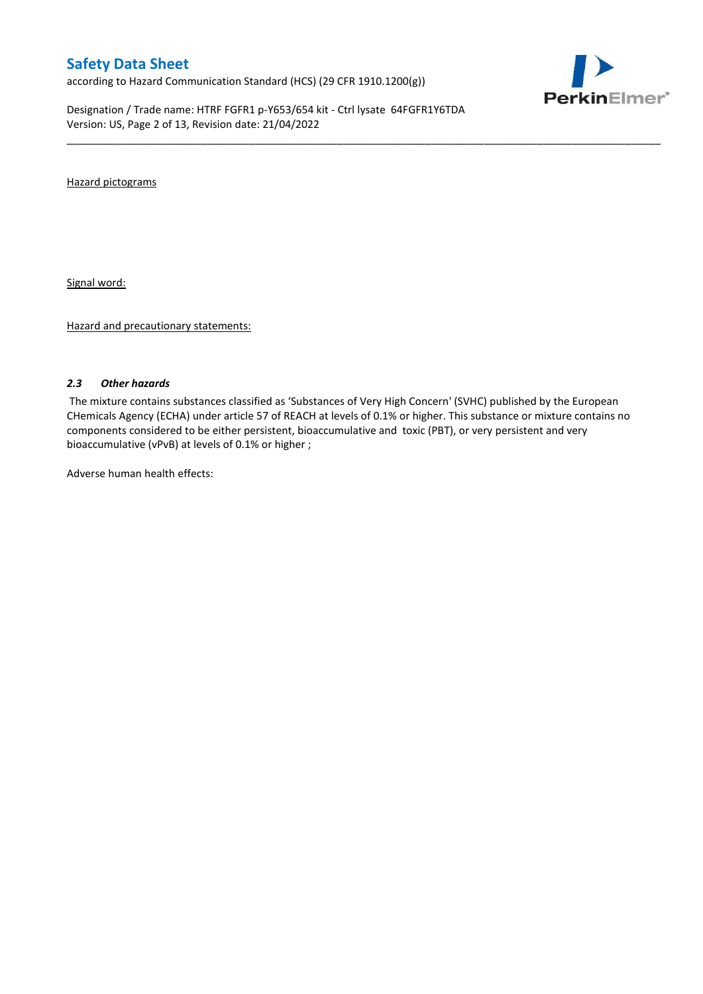according to Hazard Communication Standard (HCS) (29 CFR 1910.1200(g))

Designation / Trade name: HTRF FGFR1 p-Y653/654 kit - Ctrl lysate 64FGFR1Y6TDA Version: US, Page 2 of 13, Revision date: 21/04/2022



Hazard pictograms

Signal word:

Hazard and precautionary statements:

### *2.3 Other hazards*

The mixture contains substances classified as 'Substances of Very High Concern' (SVHC) published by the European CHemicals Agency (ECHA) under article 57 of REACH at levels of 0.1% or higher. This substance or mixture contains no components considered to be either persistent, bioaccumulative and toxic (PBT), or very persistent and very bioaccumulative (vPvB) at levels of 0.1% or higher ;

\_\_\_\_\_\_\_\_\_\_\_\_\_\_\_\_\_\_\_\_\_\_\_\_\_\_\_\_\_\_\_\_\_\_\_\_\_\_\_\_\_\_\_\_\_\_\_\_\_\_\_\_\_\_\_\_\_\_\_\_\_\_\_\_\_\_\_\_\_\_\_\_\_\_\_\_\_\_\_\_\_\_\_\_\_\_\_\_\_\_\_\_\_\_\_\_\_\_\_\_\_

Adverse human health effects: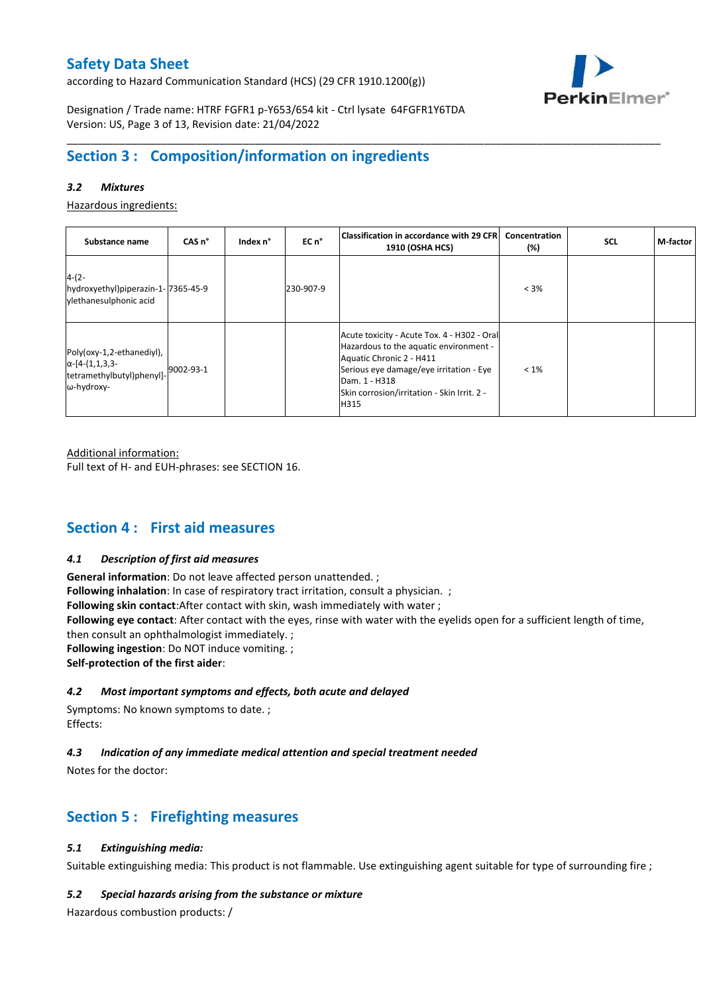according to Hazard Communication Standard (HCS) (29 CFR 1910.1200(g))



Designation / Trade name: HTRF FGFR1 p-Y653/654 kit - Ctrl lysate 64FGFR1Y6TDA Version: US, Page 3 of 13, Revision date: 21/04/2022

# **Section 3 : Composition/information on ingredients**

## *3.2 Mixtures*

Hazardous ingredients:

| Substance name                                                                                 | CAS <sub>n</sub> ° | Index n° | EC n°     | Classification in accordance with 29 CFR <br><b>1910 (OSHA HCS)</b>                                                                                                                                                                  | Concentration<br>$(\%)$ | <b>SCL</b> | M-factor |
|------------------------------------------------------------------------------------------------|--------------------|----------|-----------|--------------------------------------------------------------------------------------------------------------------------------------------------------------------------------------------------------------------------------------|-------------------------|------------|----------|
| $4-(2-$<br>hydroxyethyl)piperazin-1-7365-45-9<br>vlethanesulphonic acid                        |                    |          | 230-907-9 |                                                                                                                                                                                                                                      | $< 3\%$                 |            |          |
| Poly(oxy-1,2-ethanediyl),<br>$\alpha$ -[4-(1,1,3,3-<br>tetramethylbutyl)phenyl]-<br>ω-hydroxy- | 9002-93-1          |          |           | Acute toxicity - Acute Tox. 4 - H302 - Oral<br>Hazardous to the aquatic environment -<br>Aquatic Chronic 2 - H411<br>Serious eye damage/eye irritation - Eye<br>Dam. 1 - H318<br>Skin corrosion/irritation - Skin Irrit. 2 -<br>H315 | $< 1\%$                 |            |          |

\_\_\_\_\_\_\_\_\_\_\_\_\_\_\_\_\_\_\_\_\_\_\_\_\_\_\_\_\_\_\_\_\_\_\_\_\_\_\_\_\_\_\_\_\_\_\_\_\_\_\_\_\_\_\_\_\_\_\_\_\_\_\_\_\_\_\_\_\_\_\_\_\_\_\_\_\_\_\_\_\_\_\_\_\_\_\_\_\_\_\_\_\_\_\_\_\_\_\_\_\_

Additional information:

Full text of H- and EUH-phrases: see SECTION 16.

## **Section 4 : First aid measures**

### *4.1 Description of first aid measures*

**General information**: Do not leave affected person unattended. ; **Following inhalation**: In case of respiratory tract irritation, consult a physician. ; **Following skin contact**:After contact with skin, wash immediately with water ; **Following eye contact**: After contact with the eyes, rinse with water with the eyelids open for a sufficient length of time, then consult an ophthalmologist immediately. ; **Following ingestion**: Do NOT induce vomiting. ; **Self-protection of the first aider**:

## *4.2 Most important symptoms and effects, both acute and delayed*

Symptoms: No known symptoms to date. ; Effects:

## *4.3 Indication of any immediate medical attention and special treatment needed*

Notes for the doctor:

## **Section 5 : Firefighting measures**

## *5.1 Extinguishing media:*

Suitable extinguishing media: This product is not flammable. Use extinguishing agent suitable for type of surrounding fire ;

### *5.2 Special hazards arising from the substance or mixture*

Hazardous combustion products: /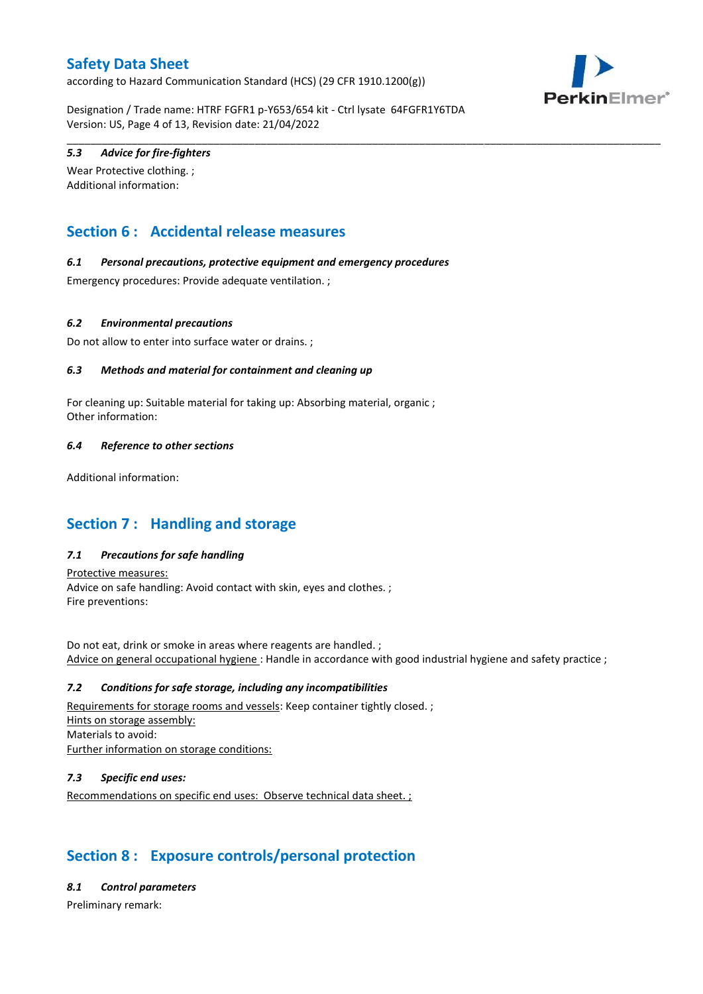according to Hazard Communication Standard (HCS) (29 CFR 1910.1200(g))



Designation / Trade name: HTRF FGFR1 p-Y653/654 kit - Ctrl lysate 64FGFR1Y6TDA Version: US, Page 4 of 13, Revision date: 21/04/2022

\_\_\_\_\_\_\_\_\_\_\_\_\_\_\_\_\_\_\_\_\_\_\_\_\_\_\_\_\_\_\_\_\_\_\_\_\_\_\_\_\_\_\_\_\_\_\_\_\_\_\_\_\_\_\_\_\_\_\_\_\_\_\_\_\_\_\_\_\_\_\_\_\_\_\_\_\_\_\_\_\_\_\_\_\_\_\_\_\_\_\_\_\_\_\_\_\_\_\_\_\_

## *5.3 Advice for fire-fighters*

Wear Protective clothing. ; Additional information:

# **Section 6 : Accidental release measures**

## *6.1 Personal precautions, protective equipment and emergency procedures*

Emergency procedures: Provide adequate ventilation. ;

## *6.2 Environmental precautions*

Do not allow to enter into surface water or drains. ;

## *6.3 Methods and material for containment and cleaning up*

For cleaning up: Suitable material for taking up: Absorbing material, organic ; Other information:

## *6.4 Reference to other sections*

Additional information:

## **Section 7 : Handling and storage**

## *7.1 Precautions for safe handling*

Protective measures: Advice on safe handling: Avoid contact with skin, eyes and clothes. ; Fire preventions:

Do not eat, drink or smoke in areas where reagents are handled. ; Advice on general occupational hygiene : Handle in accordance with good industrial hygiene and safety practice ;

### *7.2 Conditions for safe storage, including any incompatibilities*

Requirements for storage rooms and vessels: Keep container tightly closed. ; Hints on storage assembly: Materials to avoid: Further information on storage conditions:

## *7.3 Specific end uses:*

Recommendations on specific end uses: Observe technical data sheet. ;

## **Section 8 : Exposure controls/personal protection**

### *8.1 Control parameters*

Preliminary remark: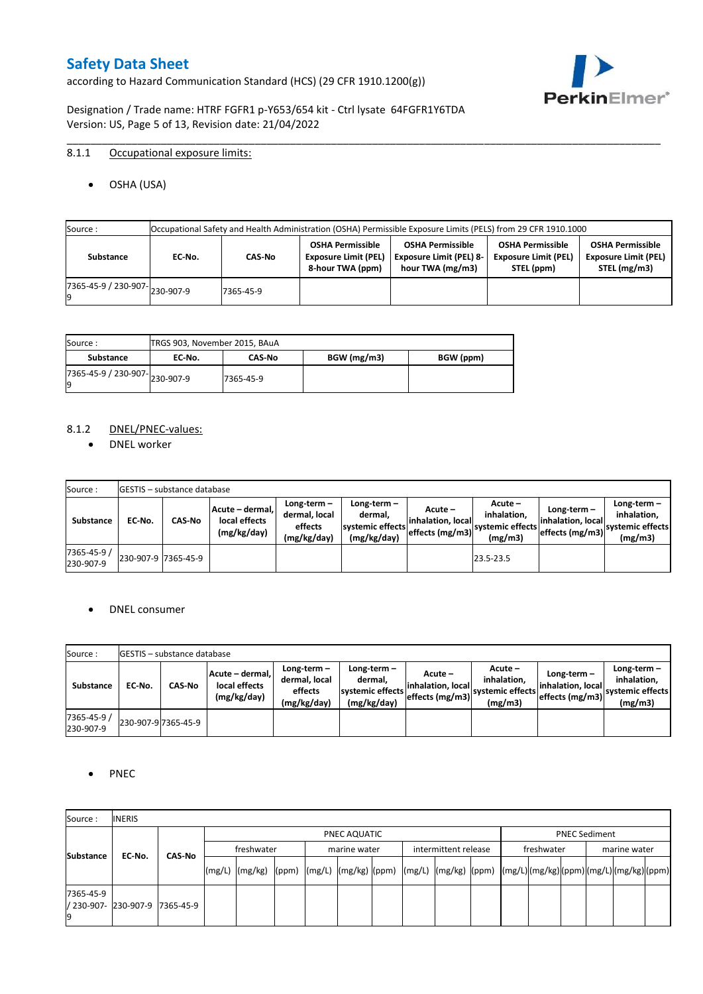according to Hazard Communication Standard (HCS) (29 CFR 1910.1200(g))



Designation / Trade name: HTRF FGFR1 p-Y653/654 kit - Ctrl lysate 64FGFR1Y6TDA Version: US, Page 5 of 13, Revision date: 21/04/2022

## 8.1.1 Occupational exposure limits:

OSHA (USA)

| Source:                             | Occupational Safety and Health Administration (OSHA) Permissible Exposure Limits (PELS) from 29 CFR 1910.1000 |           |                                                                            |                                                                               |                                                                      |                                                                        |  |  |  |  |
|-------------------------------------|---------------------------------------------------------------------------------------------------------------|-----------|----------------------------------------------------------------------------|-------------------------------------------------------------------------------|----------------------------------------------------------------------|------------------------------------------------------------------------|--|--|--|--|
| Substance                           | EC No.                                                                                                        | CAS-No    | <b>OSHA Permissible</b><br><b>Exposure Limit (PEL)</b><br>8-hour TWA (ppm) | <b>OSHA Permissible</b><br><b>Exposure Limit (PEL) 8-</b><br>hour TWA (mg/m3) | <b>OSHA Permissible</b><br><b>Exposure Limit (PEL)</b><br>STEL (ppm) | <b>OSHA Permissible</b><br><b>Exposure Limit (PEL)</b><br>STEL (mg/m3) |  |  |  |  |
| $(7365-45-9) / 230-907$ $230-907-9$ |                                                                                                               | 7365-45-9 |                                                                            |                                                                               |                                                                      |                                                                        |  |  |  |  |

\_\_\_\_\_\_\_\_\_\_\_\_\_\_\_\_\_\_\_\_\_\_\_\_\_\_\_\_\_\_\_\_\_\_\_\_\_\_\_\_\_\_\_\_\_\_\_\_\_\_\_\_\_\_\_\_\_\_\_\_\_\_\_\_\_\_\_\_\_\_\_\_\_\_\_\_\_\_\_\_\_\_\_\_\_\_\_\_\_\_\_\_\_\_\_\_\_\_\_\_\_

| Source :                       | TRGS 903, November 2015, BAuA |               |             |           |
|--------------------------------|-------------------------------|---------------|-------------|-----------|
| Substance                      | EC No.                        | <b>CAS-No</b> | BGW (mg/m3) | BGW (ppm) |
| ./365-45-9 / 230-907-230-907-9 |                               | 7365-45-9     |             |           |

## 8.1.2 DNEL/PNEC-values:

• DNEL worker

| Source:                  |                     | <b>IGESTIS – substance database</b> |                                                 |                                                          |                                                             |                                                  |                                                       |                                                          |                                                             |
|--------------------------|---------------------|-------------------------------------|-------------------------------------------------|----------------------------------------------------------|-------------------------------------------------------------|--------------------------------------------------|-------------------------------------------------------|----------------------------------------------------------|-------------------------------------------------------------|
| Substance                | EC-No.              | <b>CAS-No</b>                       | Acute – dermal,<br>local effects<br>(mg/kg/day) | Long-term $-$<br>dermal, local<br>effects<br>(mg/kg/day) | Long-term $-$<br>dermal,<br>systemic effects<br>(mg/kg/day) | Acute –<br>linhalation. local<br>effects (mg/m3) | Acute -<br>inhalation.<br>systemic effects<br>(mg/m3) | Long-term $-$<br>linhalation. local<br>effects (mg/m3) ` | $Long-term -$<br>inhalation.<br>systemic effects<br>(mg/m3) |
| 7365-45-9 /<br>230-907-9 | 230-907-9 7365-45-9 |                                     |                                                 |                                                          |                                                             |                                                  | 23.5-23.5                                             |                                                          |                                                             |

## DNEL consumer

| Source:                  |        | <b>IGESTIS – substance database</b> |                                                 |                                                          |                                                             |                                                        |                                                       |                                                        |                                                             |
|--------------------------|--------|-------------------------------------|-------------------------------------------------|----------------------------------------------------------|-------------------------------------------------------------|--------------------------------------------------------|-------------------------------------------------------|--------------------------------------------------------|-------------------------------------------------------------|
| Substance                | EC No. | CAS-No                              | Acute - dermal,<br>local effects<br>(mg/kg/day) | Long-term $-$<br>dermal, local<br>effects<br>(mg/kg/day) | $Long-term -$<br>dermal.<br>systemic effects<br>(mg/kg/day) | Acute –<br>linhalation. local<br>$effects$ (mg/m3) $ $ | Acute -<br>inhalation.<br>systemic effects<br>(mg/m3) | $Long-term -$<br>linhalation. local<br>effects (mg/m3) | Long-term $-$<br>inhalation.<br>systemic effects<br>(mg/m3) |
| 7365-45-9 /<br>230-907-9 |        | 230-907-9 7365-45-9                 |                                                 |                                                          |                                                             |                                                        |                                                       |                                                        |                                                             |

## • PNEC

| Source:                                 | <b>INERIS</b> |               |                                                                                                                                                                                                                                                                                                                                                                                                                                                                                               |  |  |              |  |  |                      |  |            |                      |              |  |
|-----------------------------------------|---------------|---------------|-----------------------------------------------------------------------------------------------------------------------------------------------------------------------------------------------------------------------------------------------------------------------------------------------------------------------------------------------------------------------------------------------------------------------------------------------------------------------------------------------|--|--|--------------|--|--|----------------------|--|------------|----------------------|--------------|--|
|                                         |               |               | PNEC AQUATIC                                                                                                                                                                                                                                                                                                                                                                                                                                                                                  |  |  |              |  |  |                      |  |            | <b>PNEC Sediment</b> |              |  |
| <b>Substance</b>                        | EC-No.        | <b>CAS No</b> | freshwater                                                                                                                                                                                                                                                                                                                                                                                                                                                                                    |  |  | marine water |  |  | intermittent release |  | freshwater |                      | marine water |  |
|                                         |               |               | $\lceil (mg/L) \rceil \cdot (mg/kg) \cdot (ppm) \cdot (mg/L) \cdot (mg/kg) \cdot (ppm) \cdot (mg/L) \cdot (mg/kg) \cdot (ppm) \cdot (mg/L) \cdot (mg/L) \cdot (mg/L) \cdot (mg/L) \cdot (mg/L) \cdot (mg/L) \cdot (mg/L) \cdot (mg/L) \cdot (mg/L) \cdot (mg/L) \cdot (mg/L) \cdot (mg/L) \cdot (mg/L) \cdot (mg/L) \cdot (mg/L) \cdot (mg/L) \cdot (gm/L) \cdot (gm/L) \cdot (gm/L) \cdot (mg/L) \cdot (mg/L) \cdot (gm/L) \cdot (gm/L) \cdot (gm/L) \cdot (gm/L) \cdot (gm/L) \cdot (gm/L)$ |  |  |              |  |  |                      |  |            |                      |              |  |
| 7365-45-9<br>/ 230-907- 230-907-9<br>19 |               | 7365-45-9     |                                                                                                                                                                                                                                                                                                                                                                                                                                                                                               |  |  |              |  |  |                      |  |            |                      |              |  |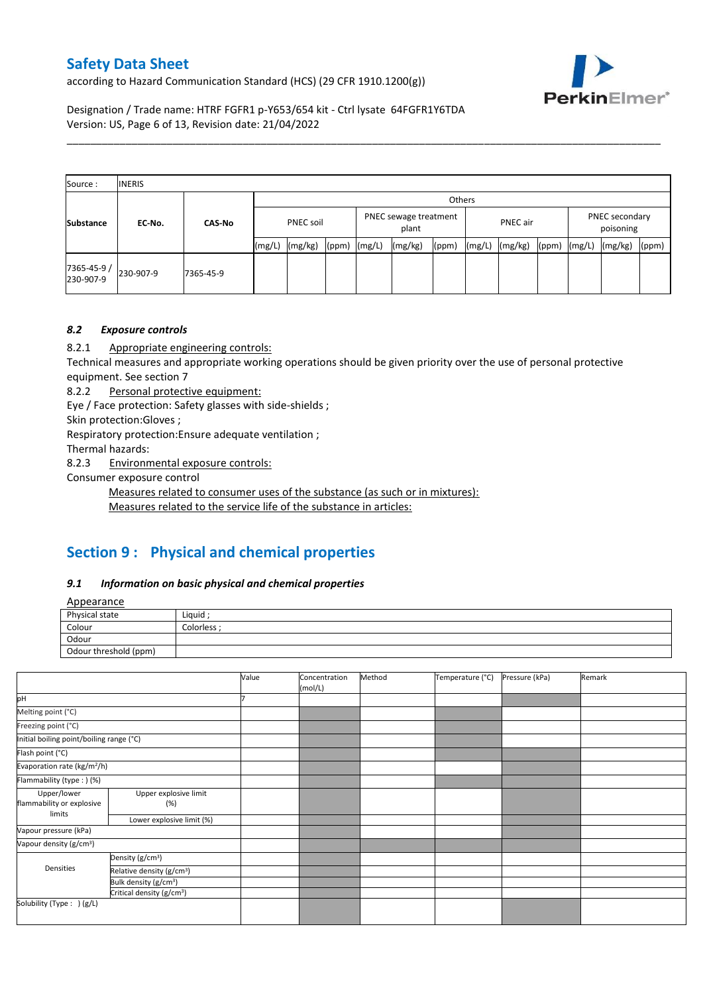according to Hazard Communication Standard (HCS) (29 CFR 1910.1200(g))



Designation / Trade name: HTRF FGFR1 p-Y653/654 kit - Ctrl lysate 64FGFR1Y6TDA Version: US, Page 6 of 13, Revision date: 21/04/2022

| Source:                  | <b>INERIS</b> |               |                  |         |       |        |                                |       |        |                                         |       |        |         |       |
|--------------------------|---------------|---------------|------------------|---------|-------|--------|--------------------------------|-------|--------|-----------------------------------------|-------|--------|---------|-------|
|                          |               |               |                  | Others  |       |        |                                |       |        |                                         |       |        |         |       |
| <b>Substance</b>         | EC-No.        | <b>CAS-No</b> | <b>PNEC soil</b> |         |       |        | PNEC sewage treatment<br>plant |       |        | PNEC secondary<br>PNEC air<br>poisoning |       |        |         |       |
|                          |               |               | (mg/L)           | (mg/kg) | (ppm) | (mg/L) | (mg/kg)                        | (ppm) | (mg/L) | (mg/kg)                                 | (ppm) | (mg/L) | (mg/kg) | (ppm) |
| 7365-45-9 /<br>230-907-9 | 230-907-9     | 7365-45-9     |                  |         |       |        |                                |       |        |                                         |       |        |         |       |

\_\_\_\_\_\_\_\_\_\_\_\_\_\_\_\_\_\_\_\_\_\_\_\_\_\_\_\_\_\_\_\_\_\_\_\_\_\_\_\_\_\_\_\_\_\_\_\_\_\_\_\_\_\_\_\_\_\_\_\_\_\_\_\_\_\_\_\_\_\_\_\_\_\_\_\_\_\_\_\_\_\_\_\_\_\_\_\_\_\_\_\_\_\_\_\_\_\_\_\_\_

## *8.2 Exposure controls*

8.2.1 Appropriate engineering controls:

Technical measures and appropriate working operations should be given priority over the use of personal protective equipment. See section 7

8.2.2 Personal protective equipment:

Eye / Face protection: Safety glasses with side-shields ;

Skin protection:Gloves ;

Respiratory protection:Ensure adequate ventilation ;

Thermal hazards:

8.2.3 Environmental exposure controls:

Consumer exposure control

Measures related to consumer uses of the substance (as such or in mixtures):

Measures related to the service life of the substance in articles:

# **Section 9 : Physical and chemical properties**

### *9.1 Information on basic physical and chemical properties*

**Annearance** 

| n                     |                  |
|-----------------------|------------------|
| Physical state        | Liquid           |
| Colour                | <b>Colorless</b> |
| Odour                 |                  |
| Odour threshold (ppm) |                  |

|                                          |                                       | Value | Concentration<br>(mol/L) | Method | Temperature (°C) | Pressure (kPa) | Remark |
|------------------------------------------|---------------------------------------|-------|--------------------------|--------|------------------|----------------|--------|
| pH                                       |                                       |       |                          |        |                  |                |        |
| Melting point (°C)                       |                                       |       |                          |        |                  |                |        |
| Freezing point (°C)                      |                                       |       |                          |        |                  |                |        |
| Initial boiling point/boiling range (°C) |                                       |       |                          |        |                  |                |        |
| Flash point (°C)                         |                                       |       |                          |        |                  |                |        |
| Evaporation rate (kg/m <sup>2</sup> /h)  |                                       |       |                          |        |                  |                |        |
| Flammability (type:) (%)                 |                                       |       |                          |        |                  |                |        |
| Upper/lower<br>flammability or explosive | Upper explosive limit<br>(%)          |       |                          |        |                  |                |        |
| limits                                   | Lower explosive limit (%)             |       |                          |        |                  |                |        |
| Vapour pressure (kPa)                    |                                       |       |                          |        |                  |                |        |
| Vapour density (g/cm <sup>3</sup> )      |                                       |       |                          |        |                  |                |        |
|                                          | Density (g/cm <sup>3</sup> )          |       |                          |        |                  |                |        |
| Densities                                | Relative density (g/cm <sup>3</sup> ) |       |                          |        |                  |                |        |
|                                          | Bulk density (g/cm <sup>3</sup> )     |       |                          |        |                  |                |        |
|                                          | Critical density (g/cm <sup>3</sup> ) |       |                          |        |                  |                |        |
| Solubility (Type: ) (g/L)                |                                       |       |                          |        |                  |                |        |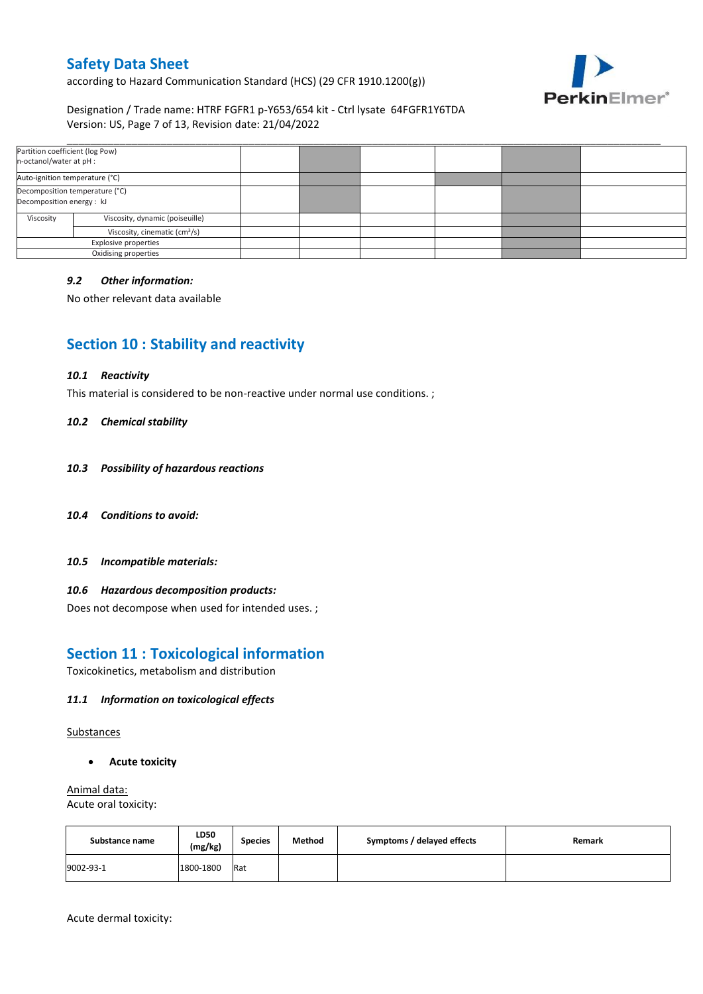according to Hazard Communication Standard (HCS) (29 CFR 1910.1200(g))



## Designation / Trade name: HTRF FGFR1 p-Y653/654 kit - Ctrl lysate 64FGFR1Y6TDA Version: US, Page 7 of 13, Revision date: 21/04/2022

| Partition coefficient (log Pow)<br>n-octanol/water at pH : |                                 |  |  |  |
|------------------------------------------------------------|---------------------------------|--|--|--|
| Auto-ignition temperature (°C)                             |                                 |  |  |  |
| Decomposition energy : kJ                                  | Decomposition temperature (°C)  |  |  |  |
| Viscosity                                                  | Viscosity, dynamic (poiseuille) |  |  |  |
| Viscosity, cinematic (cm <sup>3</sup> /s)                  |                                 |  |  |  |
| Explosive properties                                       |                                 |  |  |  |
|                                                            | Oxidising properties            |  |  |  |

### *9.2 Other information:*

No other relevant data available

# **Section 10 : Stability and reactivity**

#### *10.1 Reactivity*

This material is considered to be non-reactive under normal use conditions. ;

#### *10.2 Chemical stability*

- *10.3 Possibility of hazardous reactions*
- *10.4 Conditions to avoid:*
- *10.5 Incompatible materials:*

### *10.6 Hazardous decomposition products:*

Does not decompose when used for intended uses. ;

## **Section 11 : Toxicological information**

Toxicokinetics, metabolism and distribution

## *11.1 Information on toxicological effects*

Substances

**Acute toxicity**

Animal data: Acute oral toxicity:

| Substance name | LD50<br>(mg/kg) | <b>Species</b> | Method | Symptoms / delayed effects | Remark |
|----------------|-----------------|----------------|--------|----------------------------|--------|
| 9002-93-1      | 1800-1800       | Rat            |        |                            |        |

Acute dermal toxicity: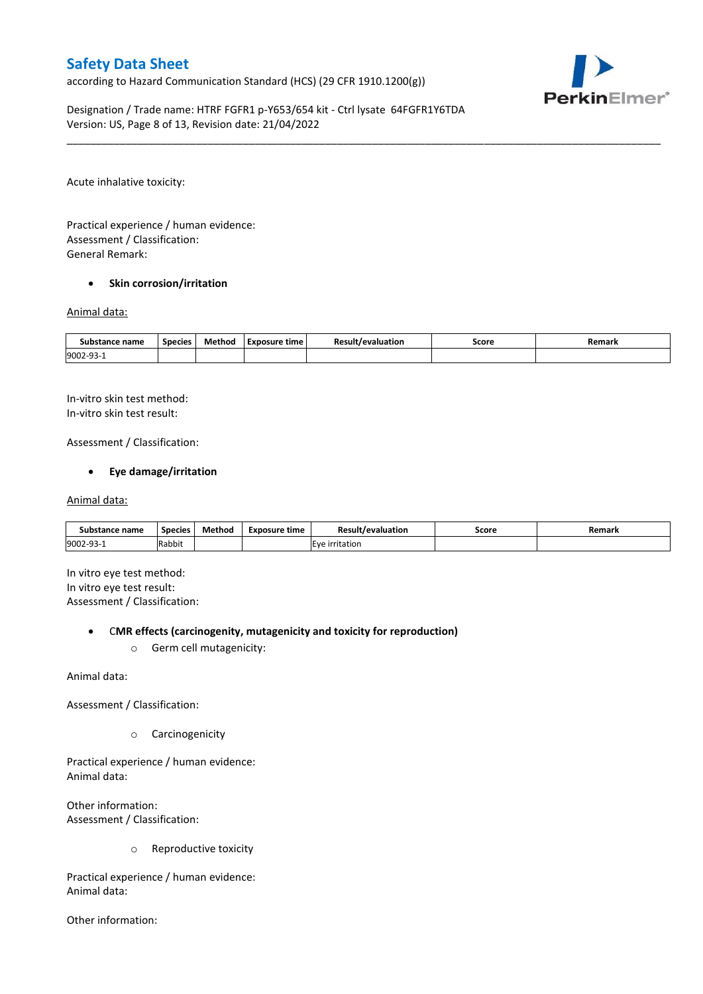according to Hazard Communication Standard (HCS) (29 CFR 1910.1200(g))



Designation / Trade name: HTRF FGFR1 p-Y653/654 kit - Ctrl lysate 64FGFR1Y6TDA Version: US, Page 8 of 13, Revision date: 21/04/2022

Acute inhalative toxicity:

Practical experience / human evidence: Assessment / Classification: General Remark:

### **•** Skin corrosion/irritation

#### Animal data:

| Substance name        | <b>Species</b> | Method | Exposure time | /evaluation | Score | Remark |
|-----------------------|----------------|--------|---------------|-------------|-------|--------|
| 9002-93<br><u>ل ل</u> |                |        |               |             |       |        |

\_\_\_\_\_\_\_\_\_\_\_\_\_\_\_\_\_\_\_\_\_\_\_\_\_\_\_\_\_\_\_\_\_\_\_\_\_\_\_\_\_\_\_\_\_\_\_\_\_\_\_\_\_\_\_\_\_\_\_\_\_\_\_\_\_\_\_\_\_\_\_\_\_\_\_\_\_\_\_\_\_\_\_\_\_\_\_\_\_\_\_\_\_\_\_\_\_\_\_\_\_

In-vitro skin test method: In-vitro skin test result:

Assessment / Classification:

## **Eye damage/irritation**

#### Animal data:

| Substance name   | <b>Species</b> | Method | Exposure time | <b>Result/evaluation</b> | Score | Remark |
|------------------|----------------|--------|---------------|--------------------------|-------|--------|
| 9002-93-<br>⊥−∟ت | Rabbit         |        |               | <b>IEve irritation</b>   |       |        |

In vitro eye test method: In vitro eye test result: Assessment / Classification:

#### C**MR effects (carcinogenity, mutagenicity and toxicity for reproduction)**

o Germ cell mutagenicity:

Animal data:

Assessment / Classification:

o Carcinogenicity

Practical experience / human evidence: Animal data:

Other information: Assessment / Classification:

o Reproductive toxicity

Practical experience / human evidence: Animal data:

Other information: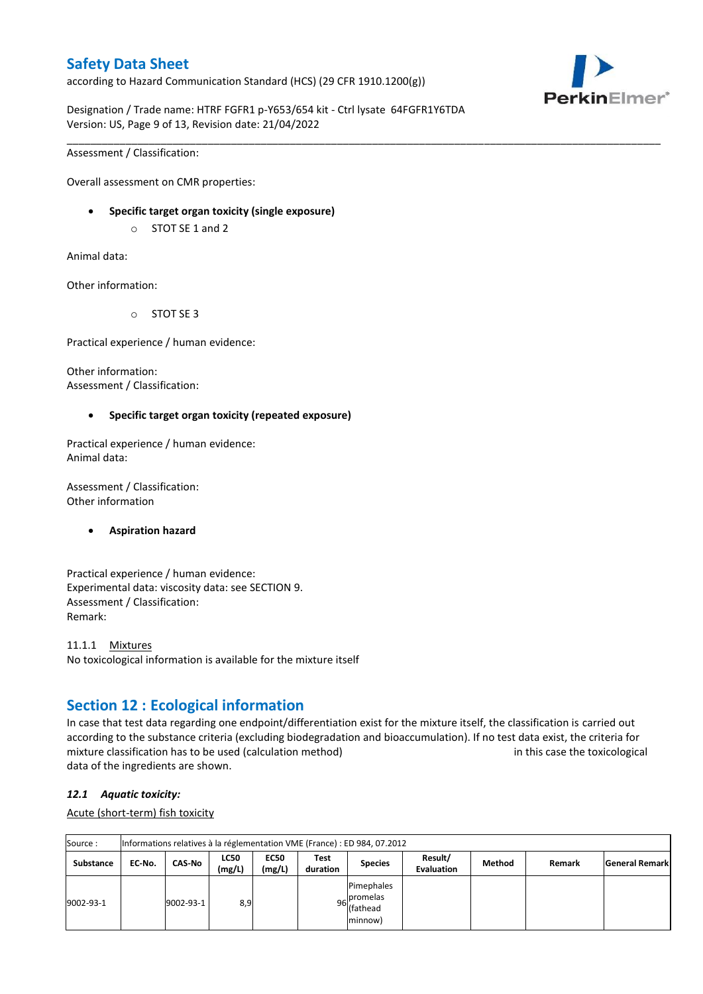according to Hazard Communication Standard (HCS) (29 CFR 1910.1200(g))



Designation / Trade name: HTRF FGFR1 p-Y653/654 kit - Ctrl lysate 64FGFR1Y6TDA Version: US, Page 9 of 13, Revision date: 21/04/2022

\_\_\_\_\_\_\_\_\_\_\_\_\_\_\_\_\_\_\_\_\_\_\_\_\_\_\_\_\_\_\_\_\_\_\_\_\_\_\_\_\_\_\_\_\_\_\_\_\_\_\_\_\_\_\_\_\_\_\_\_\_\_\_\_\_\_\_\_\_\_\_\_\_\_\_\_\_\_\_\_\_\_\_\_\_\_\_\_\_\_\_\_\_\_\_\_\_\_\_\_\_

Assessment / Classification:

Overall assessment on CMR properties:

- **Specific target organ toxicity (single exposure)**
	- o STOT SE 1 and 2

Animal data:

Other information:

o STOT SE 3

Practical experience / human evidence:

Other information: Assessment / Classification:

### **Specific target organ toxicity (repeated exposure)**

Practical experience / human evidence: Animal data:

Assessment / Classification: Other information

### **Aspiration hazard**

Practical experience / human evidence: Experimental data: viscosity data: see SECTION 9. Assessment / Classification: Remark:

11.1.1 Mixtures No toxicological information is available for the mixture itself

## **Section 12 : Ecological information**

In case that test data regarding one endpoint/differentiation exist for the mixture itself, the classification is carried out according to the substance criteria (excluding biodegradation and bioaccumulation). If no test data exist, the criteria for mixture classification has to be used (calculation method) in this case the toxicological data of the ingredients are shown.

### *12.1 Aquatic toxicity:*

Acute (short-term) fish toxicity

| Source:          |        |               |                       |                       |                  | Informations relatives à la réglementation VME (France) : ED 984, 07.2012 |                       |        |        |                |
|------------------|--------|---------------|-----------------------|-----------------------|------------------|---------------------------------------------------------------------------|-----------------------|--------|--------|----------------|
| <b>Substance</b> | EC No. | <b>CAS-No</b> | <b>LC50</b><br>(mg/L) | <b>EC50</b><br>(mg/L) | Test<br>duration | <b>Species</b>                                                            | Result/<br>Evaluation | Method | Remark | General Remark |
| 9002-93-1        |        | 9002-93-1     | 8,9                   |                       |                  | Pimephales<br>Ipromelas<br>96 river<br>minnow)                            |                       |        |        |                |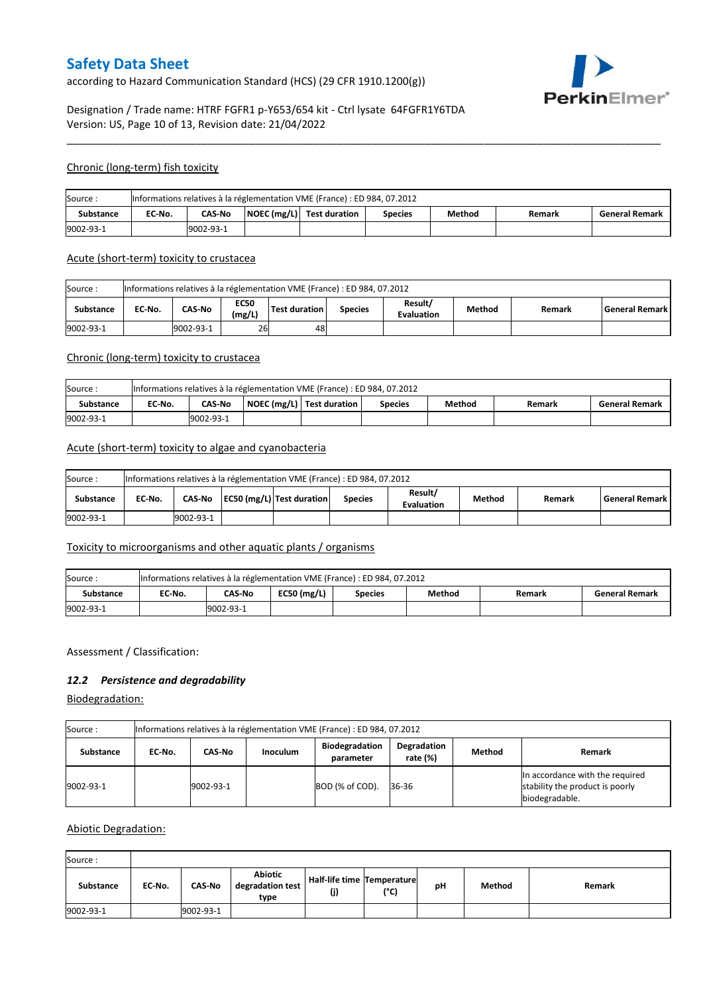according to Hazard Communication Standard (HCS) (29 CFR 1910.1200(g))



## Designation / Trade name: HTRF FGFR1 p-Y653/654 kit - Ctrl lysate 64FGFR1Y6TDA Version: US, Page 10 of 13, Revision date: 21/04/2022

### Chronic (long-term) fish toxicity

| Source:          |           |               |  | Informations relatives à la réglementation VME (France) : ED 984, 07.2012 |         |        |        |                       |  |
|------------------|-----------|---------------|--|---------------------------------------------------------------------------|---------|--------|--------|-----------------------|--|
| <b>Substance</b> | EC No.    | <b>CAS-No</b> |  | $\vert$ NOEC (mg/L) $\vert$ Test duration                                 | Species | Method | Remark | <b>General Remark</b> |  |
| 9002-93-1        | 9002-93-1 |               |  |                                                                           |         |        |        |                       |  |

\_\_\_\_\_\_\_\_\_\_\_\_\_\_\_\_\_\_\_\_\_\_\_\_\_\_\_\_\_\_\_\_\_\_\_\_\_\_\_\_\_\_\_\_\_\_\_\_\_\_\_\_\_\_\_\_\_\_\_\_\_\_\_\_\_\_\_\_\_\_\_\_\_\_\_\_\_\_\_\_\_\_\_\_\_\_\_\_\_\_\_\_\_\_\_\_\_\_\_\_\_

#### Acute (short-term) toxicity to crustacea

| Source:          | Informations relatives à la réglementation VME (France) : ED 984, 07.2012                                                                       |  |  |  |  |  |  |  |  |  |  |
|------------------|-------------------------------------------------------------------------------------------------------------------------------------------------|--|--|--|--|--|--|--|--|--|--|
| <b>Substance</b> | Result/<br><b>EC50</b><br>CAS-No<br>Test duration<br>EC No.<br>Method<br>l General Remark l<br><b>Species</b><br>Remark<br>(mg/L)<br>Evaluation |  |  |  |  |  |  |  |  |  |  |
| 9002-93-1        | 26<br>9002-93-1<br>48                                                                                                                           |  |  |  |  |  |  |  |  |  |  |

## Chronic (long-term) toxicity to crustacea

| Source:   |           |                                                                                                             |  | Informations relatives à la réglementation VME (France) : ED 984, 07.2012 |  |  |  |  |  |  |  |
|-----------|-----------|-------------------------------------------------------------------------------------------------------------|--|---------------------------------------------------------------------------|--|--|--|--|--|--|--|
| Substance | EC-No.    | NOEC (mg/L)   Test duration<br>Method<br><b>CAS-No</b><br><b>General Remark</b><br><b>Species</b><br>Remark |  |                                                                           |  |  |  |  |  |  |  |
| 9002-93-1 | 9002-93-1 |                                                                                                             |  |                                                                           |  |  |  |  |  |  |  |

### Acute (short-term) toxicity to algae and cyanobacteria

| Source:          | Informations relatives à la réglementation VME (France) : ED 984, 07.2012 |                                                                                                                                     |  |  |  |  |  |  |  |  |  |
|------------------|---------------------------------------------------------------------------|-------------------------------------------------------------------------------------------------------------------------------------|--|--|--|--|--|--|--|--|--|
| <b>Substance</b> | EC No.                                                                    | Result/<br>CAS-No   EC50 (mg/L)   Test duration<br><b>General Remark</b><br>Method<br><b>Species</b><br>Remark<br><b>Evaluation</b> |  |  |  |  |  |  |  |  |  |
| 9002-93-1        |                                                                           | 9002-93-1                                                                                                                           |  |  |  |  |  |  |  |  |  |

## Toxicity to microorganisms and other aquatic plants / organisms

| Source:   |            |        |               | Informations relatives à la réglementation VME (France) : ED 984, 07.2012 |        |        |                       |  |
|-----------|------------|--------|---------------|---------------------------------------------------------------------------|--------|--------|-----------------------|--|
| Substance | EC-No.     | CAS-No | $EC50$ (mg/L) | <b>Species</b>                                                            | Method | Remark | <b>General Remark</b> |  |
| 9002-93-1 | 19002-93-1 |        |               |                                                                           |        |        |                       |  |

### Assessment / Classification:

## *12.2 Persistence and degradability*

Biodegradation:

| Source :         | Informations relatives à la réglementation VME (France) : ED 984, 07.2012 |           |                 |                                    |                         |        |                                                                                      |  |  |  |
|------------------|---------------------------------------------------------------------------|-----------|-----------------|------------------------------------|-------------------------|--------|--------------------------------------------------------------------------------------|--|--|--|
| <b>Substance</b> | EC No.                                                                    | CAS-No    | <b>Inoculum</b> | <b>Biodegradation</b><br>parameter | Degradation<br>rate (%) | Method | Remark                                                                               |  |  |  |
| 9002-93-1        |                                                                           | 9002-93-1 |                 | BOD (% of COD).                    | 36-36                   |        | In accordance with the required<br>stability the product is poorly<br>biodegradable. |  |  |  |

### Abiotic Degradation:

| Source:   |        |               |                                            |                                   |      |    |        |        |
|-----------|--------|---------------|--------------------------------------------|-----------------------------------|------|----|--------|--------|
| Substance | EC-No. | <b>CAS-No</b> | <b>Abiotic</b><br>degradation test<br>type | Half-life time Temperature<br>(j) | (°C) | рH | Method | Remark |
| 9002-93-1 |        | 9002-93-1     |                                            |                                   |      |    |        |        |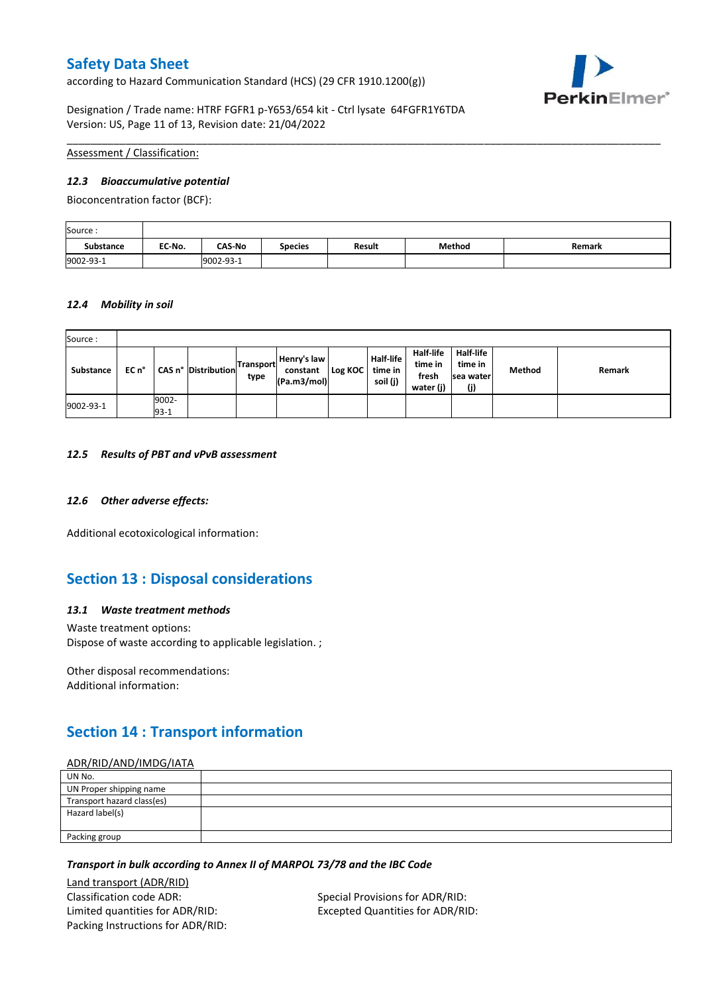according to Hazard Communication Standard (HCS) (29 CFR 1910.1200(g))



Designation / Trade name: HTRF FGFR1 p-Y653/654 kit - Ctrl lysate 64FGFR1Y6TDA Version: US, Page 11 of 13, Revision date: 21/04/2022

Assessment / Classification:

### *12.3 Bioaccumulative potential*

Bioconcentration factor (BCF):

| Source:          |        |               |                |        |        |        |
|------------------|--------|---------------|----------------|--------|--------|--------|
| <b>Substance</b> | EC No. | <b>CAS-No</b> | <b>Species</b> | Result | Method | Remark |
| 9002-93-1        |        | 9002-93-1     |                |        |        |        |

\_\_\_\_\_\_\_\_\_\_\_\_\_\_\_\_\_\_\_\_\_\_\_\_\_\_\_\_\_\_\_\_\_\_\_\_\_\_\_\_\_\_\_\_\_\_\_\_\_\_\_\_\_\_\_\_\_\_\_\_\_\_\_\_\_\_\_\_\_\_\_\_\_\_\_\_\_\_\_\_\_\_\_\_\_\_\_\_\_\_\_\_\_\_\_\_\_\_\_\_\_

### *12.4 Mobility in soil*

| Source:   |       |                 |                     |                   |                                        |         |                                         |                                                   |                                           |        |        |
|-----------|-------|-----------------|---------------------|-------------------|----------------------------------------|---------|-----------------------------------------|---------------------------------------------------|-------------------------------------------|--------|--------|
| Substance | EC n° |                 | CAS n° Distribution | Transport<br>type | Henry's law<br>constant<br>(Pa.m3/mol) | Log KOC | <b>Half-life</b><br>time in<br>soil (j) | <b>Half-life</b><br>time in<br>fresh<br>water (j) | Half-life<br>time in<br>Isea water<br>(j) | Method | Remark |
| 9002-93-1 |       | 9002-<br>$93-1$ |                     |                   |                                        |         |                                         |                                                   |                                           |        |        |

#### *12.5 Results of PBT and vPvB assessment*

### *12.6 Other adverse effects:*

Additional ecotoxicological information:

## **Section 13 : Disposal considerations**

### *13.1 Waste treatment methods*

Waste treatment options: Dispose of waste according to applicable legislation. ;

Other disposal recommendations: Additional information:

# **Section 14 : Transport information**

#### ADR/RID/AND/IMDG/IATA

| UN No.                     |  |
|----------------------------|--|
| UN Proper shipping name    |  |
| Transport hazard class(es) |  |
| Hazard label(s)            |  |
|                            |  |
| Packing group              |  |

### *Transport in bulk according to Annex II of MARPOL 73/78 and the IBC Code*

Land transport (ADR/RID) Classification code ADR: Special Provisions for ADR/RID: Limited quantities for ADR/RID: Excepted Quantities for ADR/RID: Packing Instructions for ADR/RID: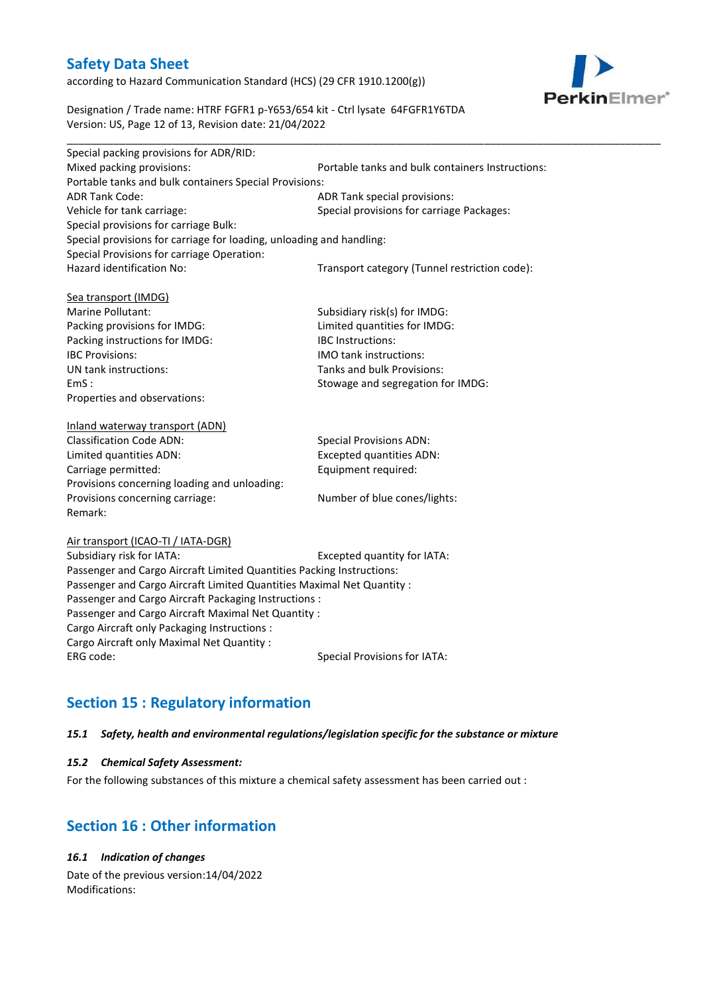according to Hazard Communication Standard (HCS) (29 CFR 1910.1200(g))



Designation / Trade name: HTRF FGFR1 p-Y653/654 kit - Ctrl lysate 64FGFR1Y6TDA Version: US, Page 12 of 13, Revision date: 21/04/2022

| Special packing provisions for ADR/RID:                              |                                                  |  |  |
|----------------------------------------------------------------------|--------------------------------------------------|--|--|
| Mixed packing provisions:                                            | Portable tanks and bulk containers Instructions: |  |  |
| Portable tanks and bulk containers Special Provisions:               |                                                  |  |  |
| <b>ADR Tank Code:</b>                                                | ADR Tank special provisions:                     |  |  |
| Vehicle for tank carriage:                                           | Special provisions for carriage Packages:        |  |  |
| Special provisions for carriage Bulk:                                |                                                  |  |  |
| Special provisions for carriage for loading, unloading and handling: |                                                  |  |  |
| Special Provisions for carriage Operation:                           |                                                  |  |  |
| Hazard identification No:                                            | Transport category (Tunnel restriction code):    |  |  |
|                                                                      |                                                  |  |  |
| Sea transport (IMDG)                                                 |                                                  |  |  |
| Marine Pollutant:                                                    | Subsidiary risk(s) for IMDG:                     |  |  |
| Packing provisions for IMDG:                                         | Limited quantities for IMDG:                     |  |  |
| Packing instructions for IMDG:                                       | <b>IBC</b> Instructions:                         |  |  |
| <b>IBC Provisions:</b>                                               | <b>IMO</b> tank instructions:                    |  |  |
| UN tank instructions:                                                | Tanks and bulk Provisions:                       |  |  |
| EmS:                                                                 | Stowage and segregation for IMDG:                |  |  |
| Properties and observations:                                         |                                                  |  |  |
|                                                                      |                                                  |  |  |
| Inland waterway transport (ADN)                                      |                                                  |  |  |

| <b>Classification Code ADN:</b>              | <b>Special Provisions ADN:</b>  |
|----------------------------------------------|---------------------------------|
| Limited quantities ADN:                      | <b>Excepted quantities ADN:</b> |
| Carriage permitted:                          | Equipment required:             |
| Provisions concerning loading and unloading: |                                 |
| Provisions concerning carriage:              | Number of blue cones/lights:    |
| Remark:                                      |                                 |

#### Air transport (ICAO-TI / IATA-DGR)

Subsidiary risk for IATA: Excepted quantity for IATA: Passenger and Cargo Aircraft Limited Quantities Packing Instructions: Passenger and Cargo Aircraft Limited Quantities Maximal Net Quantity : Passenger and Cargo Aircraft Packaging Instructions : Passenger and Cargo Aircraft Maximal Net Quantity : Cargo Aircraft only Packaging Instructions : Cargo Aircraft only Maximal Net Quantity : ERG code: Special Provisions for IATA:

# **Section 15 : Regulatory information**

### *15.1 Safety, health and environmental regulations/legislation specific for the substance or mixture*

### *15.2 Chemical Safety Assessment:*

For the following substances of this mixture a chemical safety assessment has been carried out :

## **Section 16 : Other information**

## *16.1 Indication of changes*

Date of the previous version:14/04/2022 Modifications: